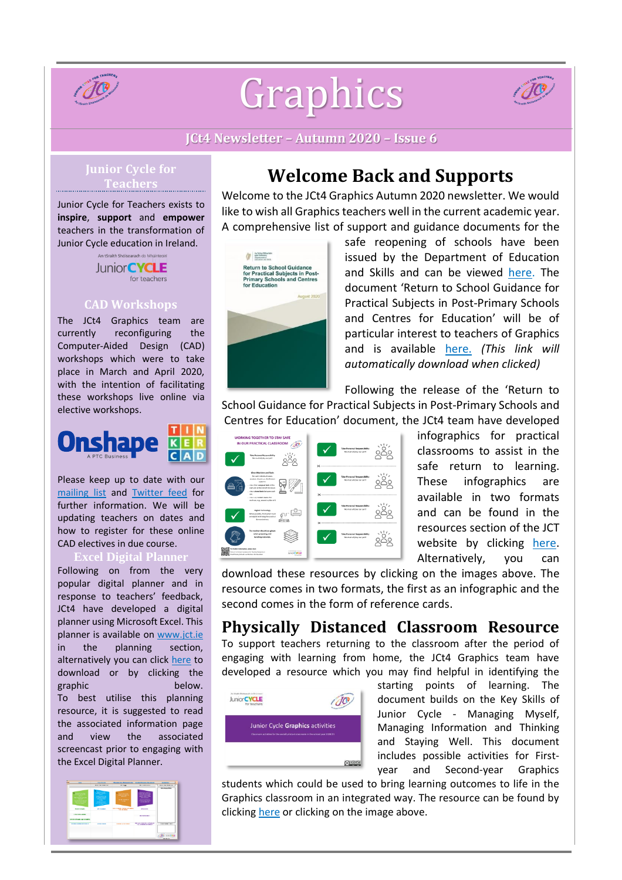

# Graphics



**JCt4 Newsletter – Autumn 2020 – Issue 6**

# **Junior Cycle for**

Junior Cycle for Teachers exists to **inspire**, **support** and **empower** teachers in the transformation of Junior Cycle education in Ireland.

> An tSraith Shóisearach do Mhúin Junior **CYCLE** for teachers

#### **CAD Workshops**

The JCt4 Graphics team are currently reconfiguring the Computer-Aided Design (CAD) workshops which were to take place in March and April 2020, with the intention of facilitating these workshops live online via elective workshops.



Please keep up to date with our [mailing](https://docs.google.com/forms/d/1Qy2bpfqL6a5-k-qMYT_MtP0NL0oxLNUZKlxq1hI_gzY/viewform?edit_requested=true) list and [Twitter](https://twitter.com/JCt4ed) feed for further information. We will be updating teachers on dates and how to register for these online CAD electives in due course.

#### **Excel Digital Planner**

Following on from the very popular digital planner and in response to teachers' feedback, JCt4 have developed a digital planner using Microsoft Excel. This planner is available on [www.jct.ie](http://www.jct.ie/) in the planning section, alternatively you can click [here](https://jct.ie/technologies/planning_graphics) to download or by clicking the graphic below. To best utilise this planning resource, it is suggested to read the associated information page and view the associated screencast prior to engaging with the Excel Digital Planner.



# **Welcome Back and Supports**

Welcome to the JCt4 Graphics Autumn 2020 newsletter. We would like to wish all Graphics teachers well in the current academic year. A comprehensive list of support and guidance documents for the



safe reopening of schools have been issued by the Department of Education and Skills and can be viewed [here.](https://www.gov.ie/en/publication/7acad-reopening-our-post-primary-schools/) The document 'Return to School Guidance for Practical Subjects in Post-Primary Schools and Centres for Education' will be of particular interest to teachers of Graphics and is available [here.](https://assets.gov.ie/85594/17fe45af-dc43-470d-90b5-3d6d2f82d66e.pdf) *(This link will automatically download when clicked)*

Following the release of the 'Return to

School Guidance for Practical Subjects in Post-Primary Schools and Centres for Education' document, the JCt4 team have developed



infographics for practical classrooms to assist in the safe return to learning. These infographics are available in two formats and can be found in the resources section of the JCT website by clicking [here.](https://jct.ie/technologies/resources_graphics) Alternatively, you can

download these resources by clicking on the images above. The resource comes in two formats, the first as an infographic and the second comes in the form of reference cards.

## **Physically Distanced Classroom Resource**

To support teachers returning to the classroom after the period of engaging with learning from home, the JCt4 Graphics team have developed a resource which you may find helpful in identifying the



starting points of learning. The document builds on the Key Skills of Junior Cycle - Managing Myself, Managing Information and Thinking and Staying Well. This document includes possible activities for Firstyear and Second-year Graphics

students which could be used to bring learning outcomes to life in the Graphics classroom in an integrated way. The resource can be found by clicking [here](https://www.jct.ie/perch/resources/technologies/graphics-physically-distanced-classroom-resources-1.pdf) or clicking on the image above.